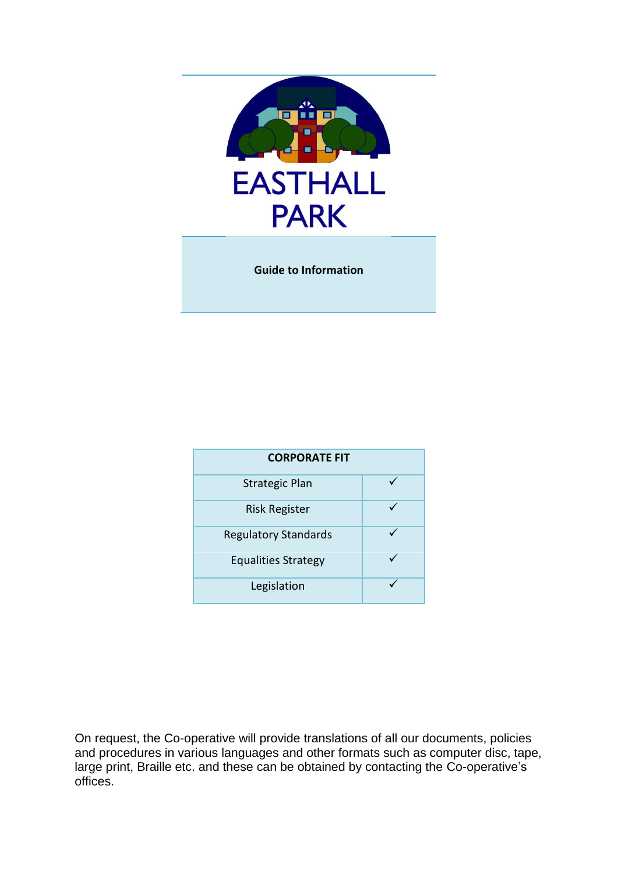

**Guide to Information**

| <b>CORPORATE FIT</b>        |  |
|-----------------------------|--|
| <b>Strategic Plan</b>       |  |
| <b>Risk Register</b>        |  |
| <b>Regulatory Standards</b> |  |
| <b>Equalities Strategy</b>  |  |
| Legislation                 |  |

On request, the Co-operative will provide translations of all our documents, policies and procedures in various languages and other formats such as computer disc, tape, large print, Braille etc. and these can be obtained by contacting the Co-operative's offices.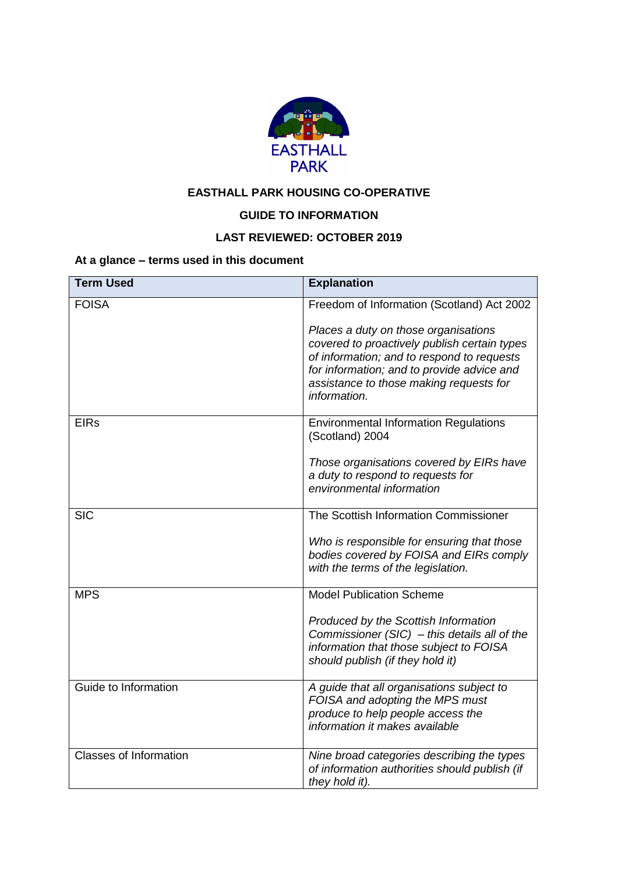

# **EASTHALL PARK HOUSING CO-OPERATIVE**

# **GUIDE TO INFORMATION**

## **LAST REVIEWED: OCTOBER 2019**

## **At a glance – terms used in this document**

| <b>Term Used</b>              | <b>Explanation</b>                                                                                                                                                                                                                          |
|-------------------------------|---------------------------------------------------------------------------------------------------------------------------------------------------------------------------------------------------------------------------------------------|
| <b>FOISA</b>                  | Freedom of Information (Scotland) Act 2002                                                                                                                                                                                                  |
|                               | Places a duty on those organisations<br>covered to proactively publish certain types<br>of information; and to respond to requests<br>for information; and to provide advice and<br>assistance to those making requests for<br>information. |
| <b>EIRs</b>                   | <b>Environmental Information Regulations</b><br>(Scotland) 2004                                                                                                                                                                             |
|                               | Those organisations covered by EIRs have<br>a duty to respond to requests for<br>environmental information                                                                                                                                  |
| <b>SIC</b>                    | The Scottish Information Commissioner                                                                                                                                                                                                       |
|                               | Who is responsible for ensuring that those<br>bodies covered by FOISA and EIRs comply<br>with the terms of the legislation.                                                                                                                 |
| <b>MPS</b>                    | <b>Model Publication Scheme</b>                                                                                                                                                                                                             |
|                               | Produced by the Scottish Information<br>Commissioner (SIC) $-$ this details all of the<br>information that those subject to FOISA<br>should publish (if they hold it)                                                                       |
| Guide to Information          | A guide that all organisations subject to<br>FOISA and adopting the MPS must<br>produce to help people access the<br>information it makes available                                                                                         |
| <b>Classes of Information</b> | Nine broad categories describing the types<br>of information authorities should publish (if<br>they hold it).                                                                                                                               |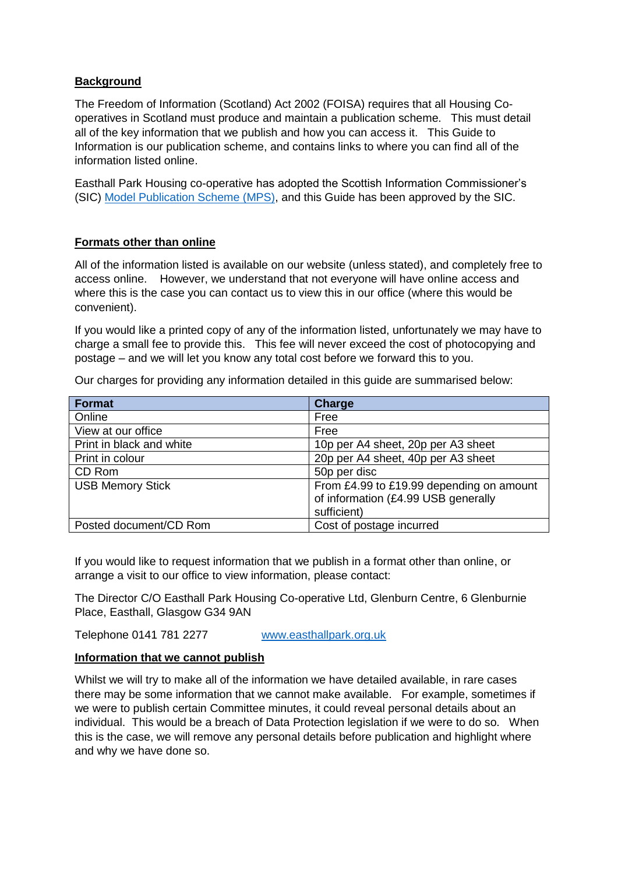## **Background**

The Freedom of Information (Scotland) Act 2002 (FOISA) requires that all Housing Cooperatives in Scotland must produce and maintain a publication scheme. This must detail all of the key information that we publish and how you can access it. This Guide to Information is our publication scheme, and contains links to where you can find all of the information listed online.

Easthall Park Housing co-operative has adopted the Scottish Information Commissioner's (SIC) [Model Publication Scheme](http://www.itspublicknowledge.info/ScottishPublicAuthorities/PublicationSchemes/TheModelPublicationScheme.aspx) (MPS), and this Guide has been approved by the SIC.

## **Formats other than online**

All of the information listed is available on our website (unless stated), and completely free to access online. However, we understand that not everyone will have online access and where this is the case you can contact us to view this in our office (where this would be convenient).

If you would like a printed copy of any of the information listed, unfortunately we may have to charge a small fee to provide this. This fee will never exceed the cost of photocopying and postage – and we will let you know any total cost before we forward this to you.

Our charges for providing any information detailed in this guide are summarised below:

| <b>Format</b>            | <b>Charge</b>                                                                                  |
|--------------------------|------------------------------------------------------------------------------------------------|
| Online                   | Free                                                                                           |
| View at our office       | Free                                                                                           |
| Print in black and white | 10p per A4 sheet, 20p per A3 sheet                                                             |
| Print in colour          | 20p per A4 sheet, 40p per A3 sheet                                                             |
| CD Rom                   | 50p per disc                                                                                   |
| <b>USB Memory Stick</b>  | From £4.99 to £19.99 depending on amount<br>of information (£4.99 USB generally<br>sufficient) |
| Posted document/CD Rom   | Cost of postage incurred                                                                       |

If you would like to request information that we publish in a format other than online, or arrange a visit to our office to view information, please contact:

The Director C/O Easthall Park Housing Co-operative Ltd, Glenburn Centre, 6 Glenburnie Place, Easthall, Glasgow G34 9AN

Telephone 0141 781 2277 [www.easthallpark.org.uk](http://www.easthallpark.org.uk/)

#### **Information that we cannot publish**

Whilst we will try to make all of the information we have detailed available, in rare cases there may be some information that we cannot make available. For example, sometimes if we were to publish certain Committee minutes, it could reveal personal details about an individual. This would be a breach of Data Protection legislation if we were to do so. When this is the case, we will remove any personal details before publication and highlight where and why we have done so.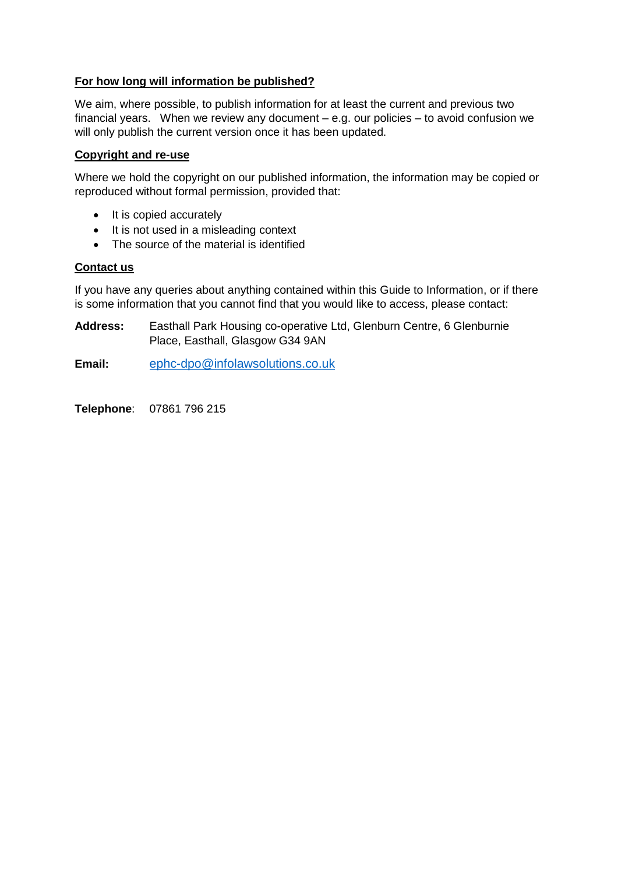## **For how long will information be published?**

We aim, where possible, to publish information for at least the current and previous two financial years. When we review any document – e.g. our policies – to avoid confusion we will only publish the current version once it has been updated.

## **Copyright and re-use**

Where we hold the copyright on our published information, the information may be copied or reproduced without formal permission, provided that:

- It is copied accurately
- It is not used in a misleading context
- The source of the material is identified

## **Contact us**

If you have any queries about anything contained within this Guide to Information, or if there is some information that you cannot find that you would like to access, please contact:

**Address:** Easthall Park Housing co-operative Ltd, Glenburn Centre, 6 Glenburnie Place, Easthall, Glasgow G34 9AN

**Email:** [ephc-dpo@infolawsolutions.co.uk](mailto:ephc-dpo@infolawsolutions.co.uk)

**Telephone**: 07861 796 215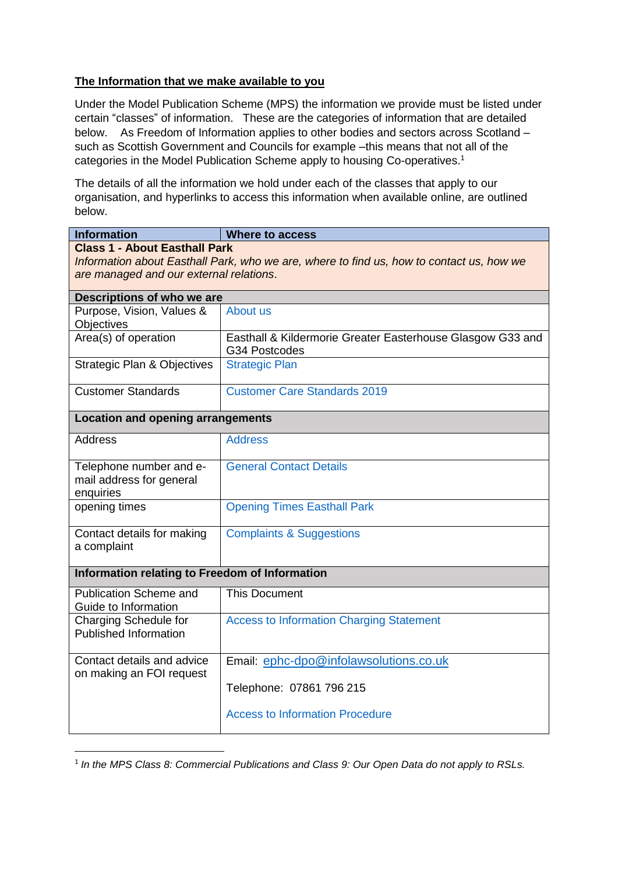## **The Information that we make available to you**

Under the Model Publication Scheme (MPS) the information we provide must be listed under certain "classes" of information. These are the categories of information that are detailed below. As Freedom of Information applies to other bodies and sectors across Scotland – such as Scottish Government and Councils for example –this means that not all of the categories in the Model Publication Scheme apply to housing Co-operatives. 1

The details of all the information we hold under each of the classes that apply to our organisation, and hyperlinks to access this information when available online, are outlined below.

| <b>Information</b>                                                                       | <b>Where to access</b>                                                      |  |
|------------------------------------------------------------------------------------------|-----------------------------------------------------------------------------|--|
| <b>Class 1 - About Easthall Park</b>                                                     |                                                                             |  |
| Information about Easthall Park, who we are, where to find us, how to contact us, how we |                                                                             |  |
| are managed and our external relations.                                                  |                                                                             |  |
| Descriptions of who we are                                                               |                                                                             |  |
| Purpose, Vision, Values &                                                                | About us                                                                    |  |
| Objectives                                                                               |                                                                             |  |
| Area(s) of operation                                                                     | Easthall & Kildermorie Greater Easterhouse Glasgow G33 and<br>G34 Postcodes |  |
| <b>Strategic Plan &amp; Objectives</b>                                                   | <b>Strategic Plan</b>                                                       |  |
| <b>Customer Standards</b>                                                                | <b>Customer Care Standards 2019</b>                                         |  |
| <b>Location and opening arrangements</b>                                                 |                                                                             |  |
| <b>Address</b>                                                                           | <b>Address</b>                                                              |  |
| Telephone number and e-                                                                  | <b>General Contact Details</b>                                              |  |
| mail address for general                                                                 |                                                                             |  |
| enquiries                                                                                |                                                                             |  |
| opening times                                                                            | <b>Opening Times Easthall Park</b>                                          |  |
| Contact details for making                                                               | <b>Complaints &amp; Suggestions</b>                                         |  |
| a complaint                                                                              |                                                                             |  |
| <b>Information relating to Freedom of Information</b>                                    |                                                                             |  |
| <b>Publication Scheme and</b><br>Guide to Information                                    | <b>This Document</b>                                                        |  |
| Charging Schedule for                                                                    | <b>Access to Information Charging Statement</b>                             |  |
| <b>Published Information</b>                                                             |                                                                             |  |
| Contact details and advice                                                               | Email: ephc-dpo@infolawsolutions.co.uk                                      |  |
| on making an FOI request                                                                 |                                                                             |  |
|                                                                                          | Telephone: 07861 796 215                                                    |  |
|                                                                                          | <b>Access to Information Procedure</b>                                      |  |
|                                                                                          |                                                                             |  |

<sup>&</sup>lt;sup>1</sup> In the MPS Class 8: Commercial Publications and Class 9: Our Open Data do not apply to RSLs.

1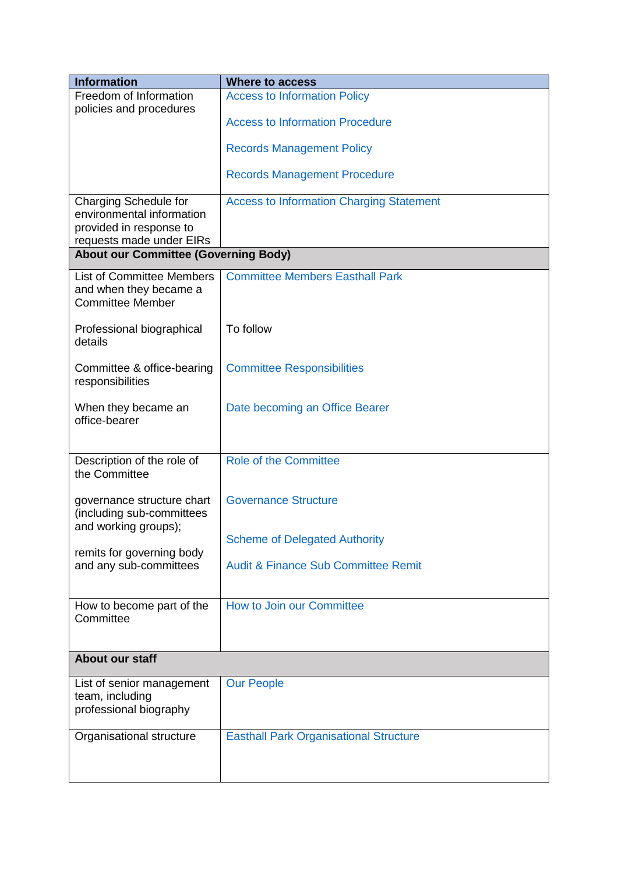| <b>Information</b>                          | <b>Where to access</b>                          |
|---------------------------------------------|-------------------------------------------------|
| Freedom of Information                      | <b>Access to Information Policy</b>             |
| policies and procedures                     |                                                 |
|                                             | <b>Access to Information Procedure</b>          |
|                                             |                                                 |
|                                             | <b>Records Management Policy</b>                |
|                                             | <b>Records Management Procedure</b>             |
|                                             |                                                 |
| Charging Schedule for                       | <b>Access to Information Charging Statement</b> |
| environmental information                   |                                                 |
| provided in response to                     |                                                 |
| requests made under EIRs                    |                                                 |
| <b>About our Committee (Governing Body)</b> |                                                 |
| <b>List of Committee Members</b>            | <b>Committee Members Easthall Park</b>          |
| and when they became a                      |                                                 |
| <b>Committee Member</b>                     |                                                 |
|                                             |                                                 |
| Professional biographical                   | To follow                                       |
| details                                     |                                                 |
| Committee & office-bearing                  | <b>Committee Responsibilities</b>               |
| responsibilities                            |                                                 |
|                                             |                                                 |
| When they became an                         | Date becoming an Office Bearer                  |
| office-bearer                               |                                                 |
|                                             |                                                 |
|                                             |                                                 |
| Description of the role of<br>the Committee | <b>Role of the Committee</b>                    |
|                                             |                                                 |
| governance structure chart                  | <b>Governance Structure</b>                     |
| (including sub-committees                   |                                                 |
| and working groups);                        |                                                 |
|                                             | <b>Scheme of Delegated Authority</b>            |
| remits for governing body                   |                                                 |
| and any sub-committees                      | <b>Audit &amp; Finance Sub Committee Remit</b>  |
|                                             |                                                 |
| How to become part of the                   | How to Join our Committee                       |
| Committee                                   |                                                 |
|                                             |                                                 |
|                                             |                                                 |
| <b>About our staff</b>                      |                                                 |
| List of senior management                   | <b>Our People</b>                               |
| team, including                             |                                                 |
| professional biography                      |                                                 |
|                                             |                                                 |
| Organisational structure                    | <b>Easthall Park Organisational Structure</b>   |
|                                             |                                                 |
|                                             |                                                 |
|                                             |                                                 |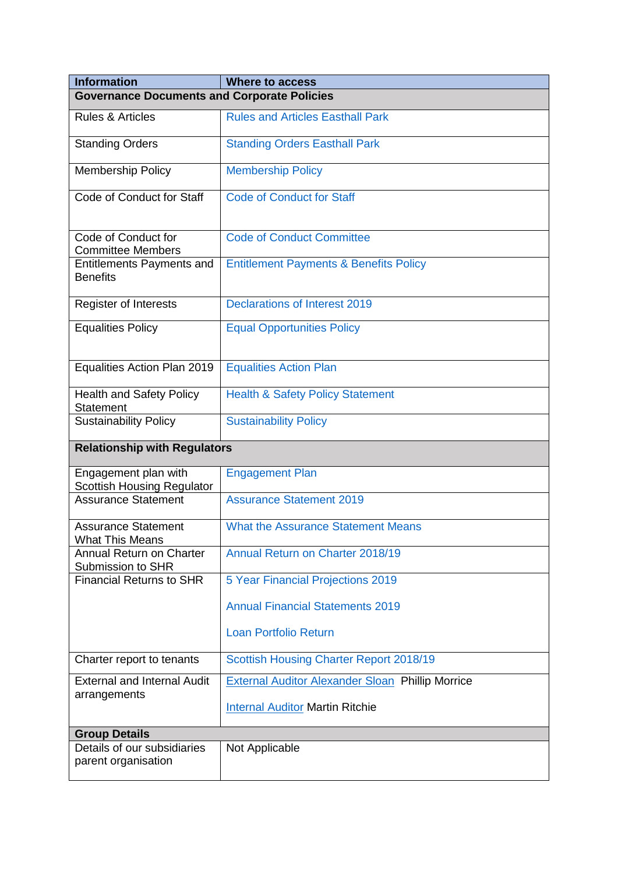| <b>Information</b>                                        | <b>Where to access</b>                                  |
|-----------------------------------------------------------|---------------------------------------------------------|
| <b>Governance Documents and Corporate Policies</b>        |                                                         |
| <b>Rules &amp; Articles</b>                               | <b>Rules and Articles Easthall Park</b>                 |
| <b>Standing Orders</b>                                    | <b>Standing Orders Easthall Park</b>                    |
| <b>Membership Policy</b>                                  | <b>Membership Policy</b>                                |
| Code of Conduct for Staff                                 | <b>Code of Conduct for Staff</b>                        |
| Code of Conduct for<br><b>Committee Members</b>           | <b>Code of Conduct Committee</b>                        |
| Entitlements Payments and<br><b>Benefits</b>              | <b>Entitlement Payments &amp; Benefits Policy</b>       |
| <b>Register of Interests</b>                              | <b>Declarations of Interest 2019</b>                    |
| <b>Equalities Policy</b>                                  | <b>Equal Opportunities Policy</b>                       |
| Equalities Action Plan 2019                               | <b>Equalities Action Plan</b>                           |
| <b>Health and Safety Policy</b><br><b>Statement</b>       | <b>Health &amp; Safety Policy Statement</b>             |
| <b>Sustainability Policy</b>                              | <b>Sustainability Policy</b>                            |
| <b>Relationship with Regulators</b>                       |                                                         |
| Engagement plan with<br><b>Scottish Housing Regulator</b> | <b>Engagement Plan</b>                                  |
| <b>Assurance Statement</b>                                | <b>Assurance Statement 2019</b>                         |
| <b>Assurance Statement</b><br><b>What This Means</b>      | <b>What the Assurance Statement Means</b>               |
| Annual Return on Charter<br>Submission to SHR             | Annual Return on Charter 2018/19                        |
| <b>Financial Returns to SHR</b>                           | 5 Year Financial Projections 2019                       |
|                                                           | <b>Annual Financial Statements 2019</b>                 |
|                                                           | <b>Loan Portfolio Return</b>                            |
| Charter report to tenants                                 | <b>Scottish Housing Charter Report 2018/19</b>          |
| <b>External and Internal Audit</b>                        | <b>External Auditor Alexander Sloan Phillip Morrice</b> |
| arrangements                                              | <b>Internal Auditor Martin Ritchie</b>                  |
| <b>Group Details</b>                                      |                                                         |
| Details of our subsidiaries<br>parent organisation        | Not Applicable                                          |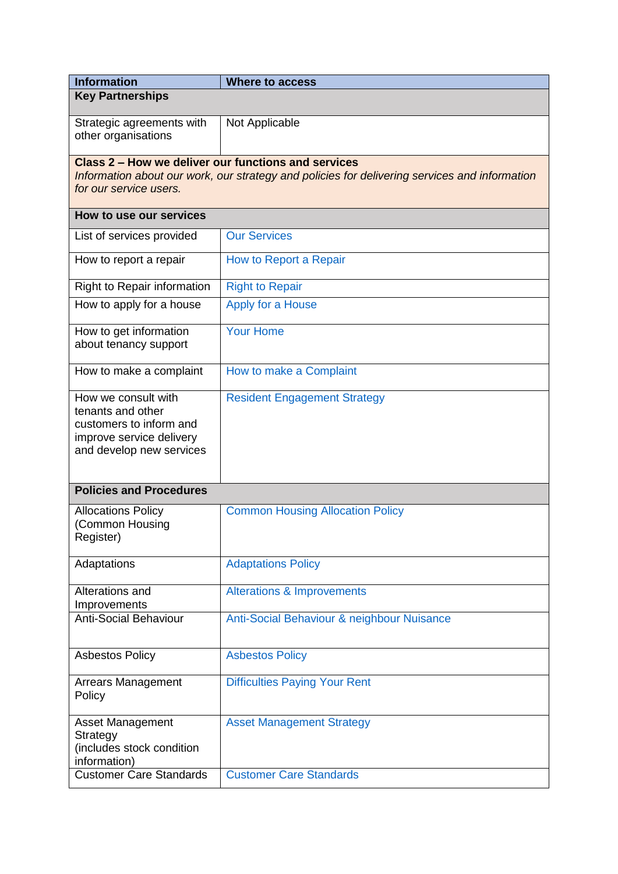| <b>Information</b>                                                                                                          | <b>Where to access</b>                                                                        |
|-----------------------------------------------------------------------------------------------------------------------------|-----------------------------------------------------------------------------------------------|
| <b>Key Partnerships</b>                                                                                                     |                                                                                               |
| Strategic agreements with<br>other organisations                                                                            | Not Applicable                                                                                |
| Class 2 – How we deliver our functions and services                                                                         |                                                                                               |
| for our service users.                                                                                                      | Information about our work, our strategy and policies for delivering services and information |
| How to use our services                                                                                                     |                                                                                               |
| List of services provided                                                                                                   | <b>Our Services</b>                                                                           |
| How to report a repair                                                                                                      | How to Report a Repair                                                                        |
| Right to Repair information                                                                                                 | <b>Right to Repair</b>                                                                        |
| How to apply for a house                                                                                                    | Apply for a House                                                                             |
| How to get information<br>about tenancy support                                                                             | <b>Your Home</b>                                                                              |
| How to make a complaint                                                                                                     | How to make a Complaint                                                                       |
| How we consult with<br>tenants and other<br>customers to inform and<br>improve service delivery<br>and develop new services | <b>Resident Engagement Strategy</b>                                                           |
| <b>Policies and Procedures</b>                                                                                              |                                                                                               |
| <b>Allocations Policy</b><br>(Common Housing<br>Register)                                                                   | <b>Common Housing Allocation Policy</b>                                                       |
| Adaptations                                                                                                                 | <b>Adaptations Policy</b>                                                                     |
| Alterations and<br>Improvements                                                                                             | <b>Alterations &amp; Improvements</b>                                                         |
| <b>Anti-Social Behaviour</b>                                                                                                | Anti-Social Behaviour & neighbour Nuisance                                                    |
| <b>Asbestos Policy</b>                                                                                                      | <b>Asbestos Policy</b>                                                                        |
| <b>Arrears Management</b><br>Policy                                                                                         | <b>Difficulties Paying Your Rent</b>                                                          |
| <b>Asset Management</b><br>Strategy<br>(includes stock condition<br>information)                                            | <b>Asset Management Strategy</b>                                                              |
| <b>Customer Care Standards</b>                                                                                              | <b>Customer Care Standards</b>                                                                |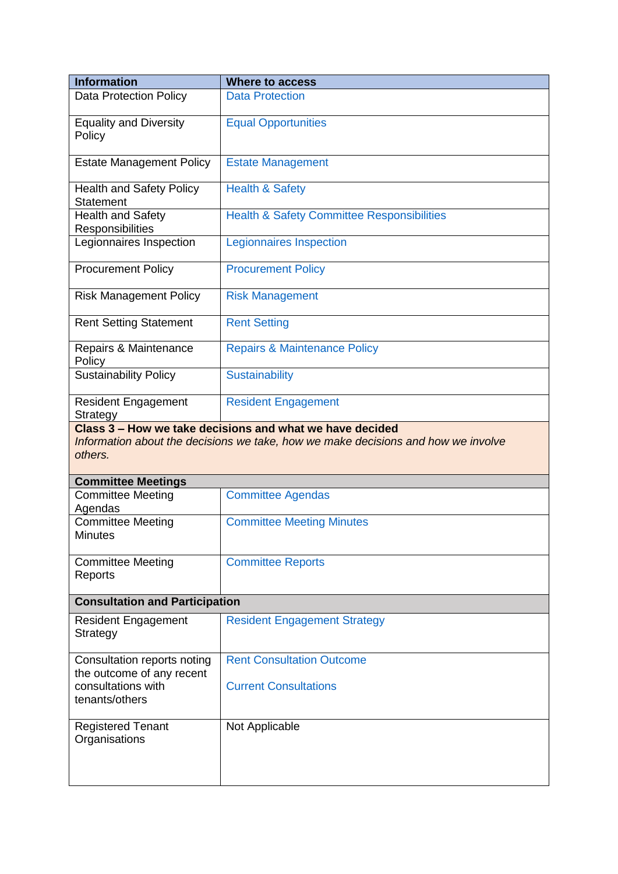| <b>Information</b>                                                | <b>Where to access</b>                                                                                                                        |
|-------------------------------------------------------------------|-----------------------------------------------------------------------------------------------------------------------------------------------|
| <b>Data Protection Policy</b>                                     | <b>Data Protection</b>                                                                                                                        |
| <b>Equality and Diversity</b><br>Policy                           | <b>Equal Opportunities</b>                                                                                                                    |
| <b>Estate Management Policy</b>                                   | <b>Estate Management</b>                                                                                                                      |
| <b>Health and Safety Policy</b><br><b>Statement</b>               | <b>Health &amp; Safety</b>                                                                                                                    |
| <b>Health and Safety</b><br>Responsibilities                      | <b>Health &amp; Safety Committee Responsibilities</b>                                                                                         |
| Legionnaires Inspection                                           | <b>Legionnaires Inspection</b>                                                                                                                |
| <b>Procurement Policy</b>                                         | <b>Procurement Policy</b>                                                                                                                     |
| <b>Risk Management Policy</b>                                     | <b>Risk Management</b>                                                                                                                        |
| <b>Rent Setting Statement</b>                                     | <b>Rent Setting</b>                                                                                                                           |
| Repairs & Maintenance<br>Policy                                   | <b>Repairs &amp; Maintenance Policy</b>                                                                                                       |
| <b>Sustainability Policy</b>                                      | <b>Sustainability</b>                                                                                                                         |
| <b>Resident Engagement</b><br>Strategy                            | <b>Resident Engagement</b>                                                                                                                    |
| others.                                                           | Class 3 - How we take decisions and what we have decided<br>Information about the decisions we take, how we make decisions and how we involve |
| <b>Committee Meetings</b>                                         |                                                                                                                                               |
| <b>Committee Meeting</b><br>Agendas                               | <b>Committee Agendas</b>                                                                                                                      |
| <b>Committee Meeting</b><br><b>Minutes</b>                        | <b>Committee Meeting Minutes</b>                                                                                                              |
| <b>Committee Meeting</b><br>Reports                               | <b>Committee Reports</b>                                                                                                                      |
| <b>Consultation and Participation</b>                             |                                                                                                                                               |
| <b>Resident Engagement</b><br>Strategy                            | <b>Resident Engagement Strategy</b>                                                                                                           |
| Consultation reports noting                                       | <b>Rent Consultation Outcome</b>                                                                                                              |
| the outcome of any recent<br>consultations with<br>tenants/others | <b>Current Consultations</b>                                                                                                                  |
| <b>Registered Tenant</b><br>Organisations                         | Not Applicable                                                                                                                                |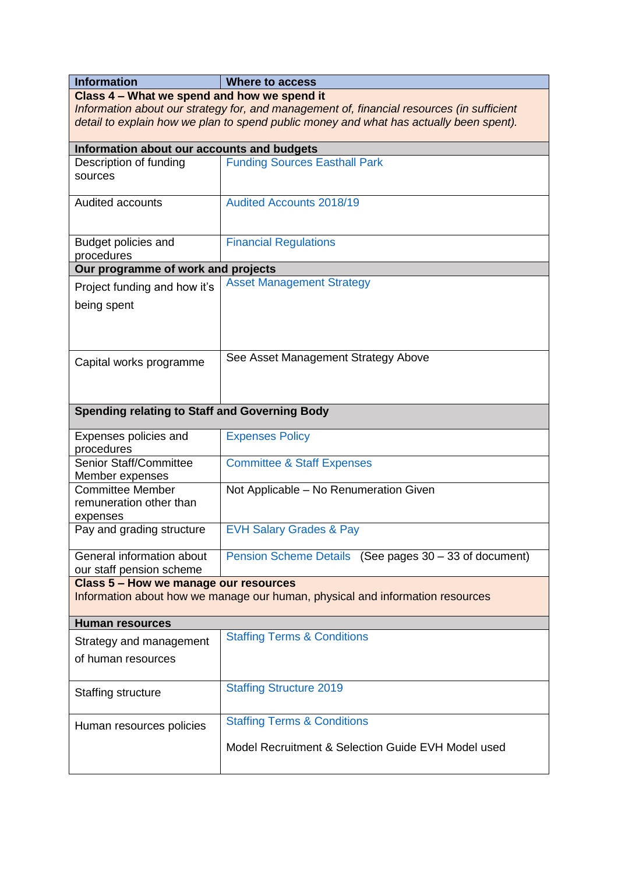| <b>Information</b>                                                                                                                                                                                                                 | <b>Where to access</b>                                 |  |
|------------------------------------------------------------------------------------------------------------------------------------------------------------------------------------------------------------------------------------|--------------------------------------------------------|--|
| Class 4 – What we spend and how we spend it<br>Information about our strategy for, and management of, financial resources (in sufficient<br>detail to explain how we plan to spend public money and what has actually been spent). |                                                        |  |
| Information about our accounts and budgets                                                                                                                                                                                         |                                                        |  |
| Description of funding<br>sources                                                                                                                                                                                                  | <b>Funding Sources Easthall Park</b>                   |  |
| Audited accounts                                                                                                                                                                                                                   | <b>Audited Accounts 2018/19</b>                        |  |
| Budget policies and<br>procedures                                                                                                                                                                                                  | <b>Financial Regulations</b>                           |  |
| Our programme of work and projects                                                                                                                                                                                                 |                                                        |  |
| Project funding and how it's<br>being spent                                                                                                                                                                                        | <b>Asset Management Strategy</b>                       |  |
| Capital works programme                                                                                                                                                                                                            | See Asset Management Strategy Above                    |  |
| <b>Spending relating to Staff and Governing Body</b>                                                                                                                                                                               |                                                        |  |
| Expenses policies and<br>procedures                                                                                                                                                                                                | <b>Expenses Policy</b>                                 |  |
| <b>Senior Staff/Committee</b><br>Member expenses                                                                                                                                                                                   | <b>Committee &amp; Staff Expenses</b>                  |  |
| <b>Committee Member</b><br>remuneration other than<br>expenses                                                                                                                                                                     | Not Applicable - No Renumeration Given                 |  |
| Pay and grading structure                                                                                                                                                                                                          | <b>EVH Salary Grades &amp; Pay</b>                     |  |
| General information about<br>our staff pension scheme                                                                                                                                                                              | Pension Scheme Details (See pages 30 - 33 of document) |  |
| Class 5 - How we manage our resources<br>Information about how we manage our human, physical and information resources                                                                                                             |                                                        |  |
| <b>Human resources</b>                                                                                                                                                                                                             |                                                        |  |
| Strategy and management                                                                                                                                                                                                            | <b>Staffing Terms &amp; Conditions</b>                 |  |
| of human resources                                                                                                                                                                                                                 |                                                        |  |
| Staffing structure                                                                                                                                                                                                                 | <b>Staffing Structure 2019</b>                         |  |
| Human resources policies                                                                                                                                                                                                           | <b>Staffing Terms &amp; Conditions</b>                 |  |
|                                                                                                                                                                                                                                    | Model Recruitment & Selection Guide EVH Model used     |  |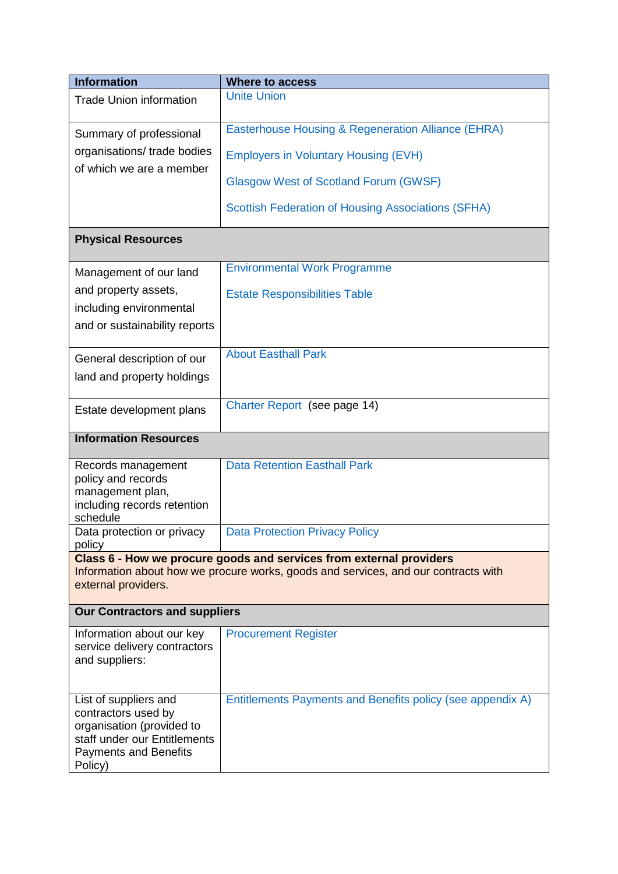| <b>Information</b>                                                                                                                                                                         | <b>Where to access</b>                                     |  |
|--------------------------------------------------------------------------------------------------------------------------------------------------------------------------------------------|------------------------------------------------------------|--|
| <b>Trade Union information</b>                                                                                                                                                             | <b>Unite Union</b>                                         |  |
| Summary of professional                                                                                                                                                                    | Easterhouse Housing & Regeneration Alliance (EHRA)         |  |
| organisations/ trade bodies                                                                                                                                                                | <b>Employers in Voluntary Housing (EVH)</b>                |  |
| of which we are a member                                                                                                                                                                   | <b>Glasgow West of Scotland Forum (GWSF)</b>               |  |
|                                                                                                                                                                                            | <b>Scottish Federation of Housing Associations (SFHA)</b>  |  |
| <b>Physical Resources</b>                                                                                                                                                                  |                                                            |  |
| Management of our land                                                                                                                                                                     | <b>Environmental Work Programme</b>                        |  |
| and property assets,                                                                                                                                                                       | <b>Estate Responsibilities Table</b>                       |  |
| including environmental                                                                                                                                                                    |                                                            |  |
| and or sustainability reports                                                                                                                                                              |                                                            |  |
| General description of our                                                                                                                                                                 | <b>About Easthall Park</b>                                 |  |
| land and property holdings                                                                                                                                                                 |                                                            |  |
| Estate development plans                                                                                                                                                                   | Charter Report (see page 14)                               |  |
| <b>Information Resources</b>                                                                                                                                                               |                                                            |  |
| Records management<br>policy and records<br>management plan,<br>including records retention<br>schedule                                                                                    | <b>Data Retention Easthall Park</b>                        |  |
| Data protection or privacy                                                                                                                                                                 | <b>Data Protection Privacy Policy</b>                      |  |
| policy<br>Class 6 - How we procure goods and services from external providers<br>Information about how we procure works, goods and services, and our contracts with<br>external providers. |                                                            |  |
| <b>Our Contractors and suppliers</b>                                                                                                                                                       |                                                            |  |
| Information about our key<br>service delivery contractors<br>and suppliers:                                                                                                                | <b>Procurement Register</b>                                |  |
| List of suppliers and<br>contractors used by<br>organisation (provided to<br>staff under our Entitlements<br><b>Payments and Benefits</b><br>Policy)                                       | Entitlements Payments and Benefits policy (see appendix A) |  |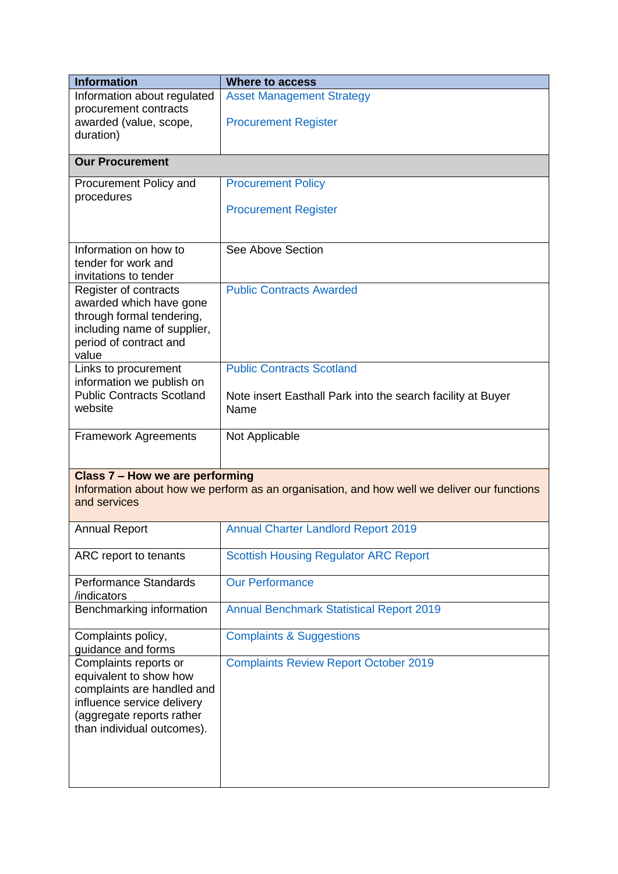| <b>Information</b>                                                                                                                                                     | <b>Where to access</b>                                              |  |
|------------------------------------------------------------------------------------------------------------------------------------------------------------------------|---------------------------------------------------------------------|--|
| Information about regulated<br>procurement contracts<br>awarded (value, scope,<br>duration)                                                                            | <b>Asset Management Strategy</b><br><b>Procurement Register</b>     |  |
| <b>Our Procurement</b>                                                                                                                                                 |                                                                     |  |
| Procurement Policy and<br>procedures                                                                                                                                   | <b>Procurement Policy</b><br><b>Procurement Register</b>            |  |
| Information on how to<br>tender for work and<br>invitations to tender                                                                                                  | See Above Section                                                   |  |
| Register of contracts<br>awarded which have gone<br>through formal tendering,<br>including name of supplier,<br>period of contract and<br>value                        | <b>Public Contracts Awarded</b>                                     |  |
| Links to procurement                                                                                                                                                   | <b>Public Contracts Scotland</b>                                    |  |
| information we publish on<br><b>Public Contracts Scotland</b><br>website                                                                                               | Note insert Easthall Park into the search facility at Buyer<br>Name |  |
| <b>Framework Agreements</b>                                                                                                                                            | Not Applicable                                                      |  |
| Class 7 - How we are performing<br>Information about how we perform as an organisation, and how well we deliver our functions<br>and services                          |                                                                     |  |
| <b>Annual Report</b>                                                                                                                                                   | <b>Annual Charter Landlord Report 2019</b>                          |  |
| ARC report to tenants                                                                                                                                                  | <b>Scottish Housing Regulator ARC Report</b>                        |  |
| <b>Performance Standards</b><br>/indicators                                                                                                                            | <b>Our Performance</b>                                              |  |
| Benchmarking information                                                                                                                                               | <b>Annual Benchmark Statistical Report 2019</b>                     |  |
| Complaints policy,<br>guidance and forms                                                                                                                               | <b>Complaints &amp; Suggestions</b>                                 |  |
| Complaints reports or<br>equivalent to show how<br>complaints are handled and<br>influence service delivery<br>(aggregate reports rather<br>than individual outcomes). | <b>Complaints Review Report October 2019</b>                        |  |